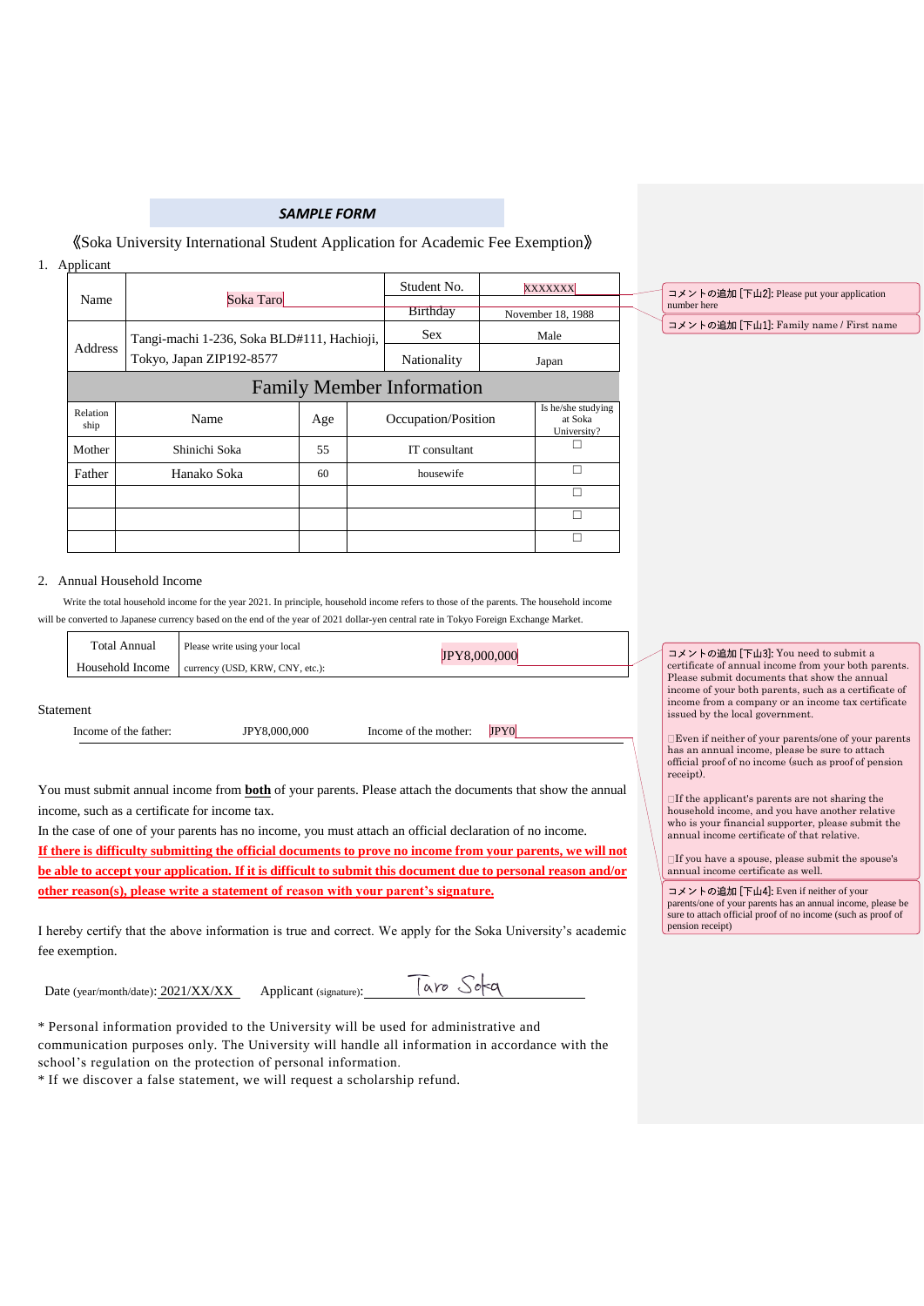## *SAMPLE FORM*

#### 《Soka University International Student Application for Academic Fee Exemption》

## 1. Applicant

|                                  |                                            |     | Student No. |                                                                                                   | <b>XXXXXXX</b> |                                              |
|----------------------------------|--------------------------------------------|-----|-------------|---------------------------------------------------------------------------------------------------|----------------|----------------------------------------------|
| Name                             | Soka Taro                                  |     |             | <b>Birthday</b><br><b>Sex</b><br>Nationality<br>Occupation/Position<br>IT consultant<br>housewife |                | November 18, 1988                            |
|                                  | Tangi-machi 1-236, Soka BLD#111, Hachioji, |     |             | Male                                                                                              |                |                                              |
| Address                          | Tokyo, Japan ZIP192-8577                   |     |             | Japan                                                                                             |                |                                              |
| <b>Family Member Information</b> |                                            |     |             |                                                                                                   |                |                                              |
| Relation<br>ship                 | Name                                       | Age |             |                                                                                                   |                | Is he/she studying<br>at Soka<br>University? |
| Mother                           | Shinichi Soka                              | 55  |             |                                                                                                   |                |                                              |
| Father                           | Hanako Soka                                | 60  |             |                                                                                                   |                | п                                            |
|                                  |                                            |     |             |                                                                                                   |                | п                                            |
|                                  |                                            |     |             |                                                                                                   |                | п                                            |
|                                  |                                            |     |             |                                                                                                   |                |                                              |

コメントの追加 [下山1]: Family name / First name コメントの追加 [下山2]: Please put your application number here

#### 2. Annual Household Income

Write the total household income for the year 2021. In principle, household income refers to those of the parents. The household income will be converted to Japanese currency based on the end of the year of 2021 dollar-yen central rate in Tokyo Foreign Exchange Market.

| <b>Total Annual</b> | Please write using your local   | JPY8.000.000 |
|---------------------|---------------------------------|--------------|
| Household Income    | currency (USD, KRW, CNY, etc.): |              |

#### Statement

Income of the father: **JPY8,000,000** Income of the mother: **JPY0** 

You must submit annual income from **both** of your parents. Please attach the documents that show the annual income, such as a certificate for income tax.

In the case of one of your parents has no income, you must attach an official declaration of no income. **If there is difficulty submitting the official documents to prove no income from your parents, we will not be able to accept your application. If it is difficult to submit this document due to personal reason and/or other reason(s), please write a statement of reason with your parent's signature.**

I hereby certify that the above information is true and correct. We apply for the Soka University's academic fee exemption.

Date (year/month/date): 2021/XX/XX Applicant (signature):

Taro Soka

\* Personal information provided to the University will be used for administrative and communication purposes only. The University will handle all information in accordance with the school's regulation on the protection of personal information.

\* If we discover a false statement, we will request a scholarship refund.

コメントの追加 [下山3]: You need to submit a certificate of annual income from your both parents. Please submit documents that show the annual income of your both parents, such as a certificate of income from a company or an income tax certificate issued by the local government.

Even if neither of your parents/one of your parents has an annual income, please be sure to attach official proof of no income (such as proof of pension receipt).

If the applicant's parents are not sharing the household income, and you have another relative who is your financial supporter, please submit the annual income certificate of that relative.

If you have a spouse, please submit the spouse's annual income certificate as well.

コメントの追加 [下山4]: Even if neither of your parents/one of your parents has an annual income, please be sure to attach official proof of no income (such as proof of pension receipt)